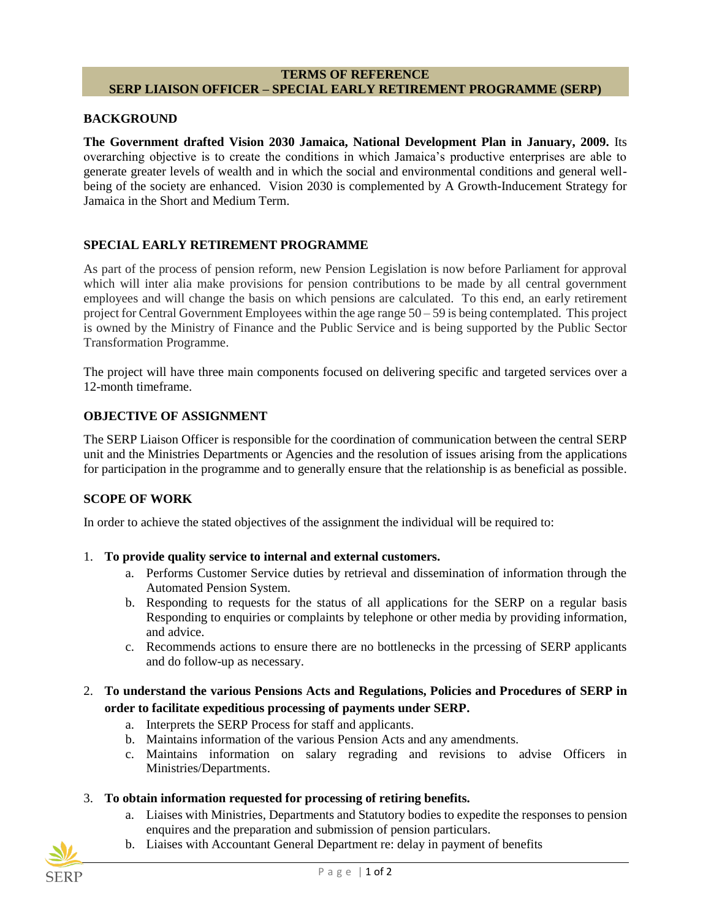#### **TERMS OF REFERENCE SERP LIAISON OFFICER – SPECIAL EARLY RETIREMENT PROGRAMME (SERP)**

#### **BACKGROUND**

**The Government drafted Vision 2030 Jamaica, National Development Plan in January, 2009.** Its overarching objective is to create the conditions in which Jamaica's productive enterprises are able to generate greater levels of wealth and in which the social and environmental conditions and general wellbeing of the society are enhanced. Vision 2030 is complemented by A Growth-Inducement Strategy for Jamaica in the Short and Medium Term.

### **SPECIAL EARLY RETIREMENT PROGRAMME**

As part of the process of pension reform, new Pension Legislation is now before Parliament for approval which will inter alia make provisions for pension contributions to be made by all central government employees and will change the basis on which pensions are calculated. To this end, an early retirement project for Central Government Employees within the age range 50 – 59 is being contemplated. This project is owned by the Ministry of Finance and the Public Service and is being supported by the Public Sector Transformation Programme.

The project will have three main components focused on delivering specific and targeted services over a 12-month timeframe.

# **OBJECTIVE OF ASSIGNMENT**

The SERP Liaison Officer is responsible for the coordination of communication between the central SERP unit and the Ministries Departments or Agencies and the resolution of issues arising from the applications for participation in the programme and to generally ensure that the relationship is as beneficial as possible.

### **SCOPE OF WORK**

In order to achieve the stated objectives of the assignment the individual will be required to:

- 1. **To provide quality service to internal and external customers.**
	- a. Performs Customer Service duties by retrieval and dissemination of information through the Automated Pension System.
	- b. Responding to requests for the status of all applications for the SERP on a regular basis Responding to enquiries or complaints by telephone or other media by providing information, and advice.
	- c. Recommends actions to ensure there are no bottlenecks in the prcessing of SERP applicants and do follow-up as necessary.
- 2. **To understand the various Pensions Acts and Regulations, Policies and Procedures of SERP in order to facilitate expeditious processing of payments under SERP.**
	- a. Interprets the SERP Process for staff and applicants.
	- b. Maintains information of the various Pension Acts and any amendments.
	- c. Maintains information on salary regrading and revisions to advise Officers in Ministries/Departments.

# 3. **To obtain information requested for processing of retiring benefits.**

- a. Liaises with Ministries, Departments and Statutory bodies to expedite the responses to pension enquires and the preparation and submission of pension particulars.
- b. Liaises with Accountant General Department re: delay in payment of benefits